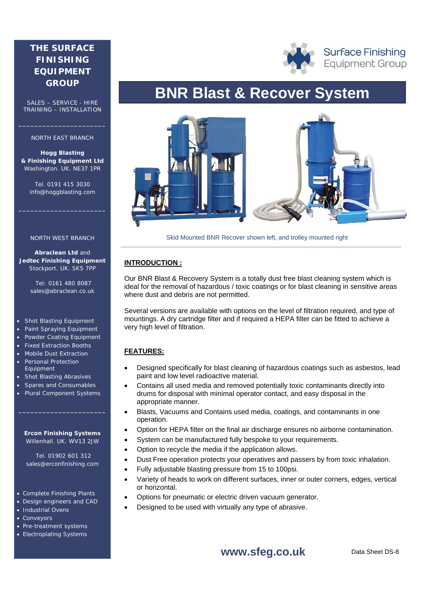## **THE SURFACE FINISHING EQUIPMENT GROUP**

SALES – SERVICE - HIRE TRAINING – INSTALLATION

### NORTH EAST BRANCH

**\_\_\_\_\_\_\_\_\_\_\_\_\_\_\_\_\_\_\_\_\_\_** 

**Hogg Blasting & Finishing Equipment Ltd** Washington. UK. NE37 1PR

Tel. 0191 415 3030 info@hoggblasting.com

**\_\_\_\_\_\_\_\_\_\_\_\_\_\_\_\_\_\_\_\_\_\_** 

#### NORTH WEST BRANCH

**Abraclean Ltd** and **Jedtec Finishing Equipment** Stockport. UK. SK5 7PP

> Tel: 0161 480 8087 sales@abraclean.co.uk

#### Shot Blasting Equipment

- Paint Spraying Equipment
- Powder Coating Equipment
- Fixed Extraction Booths
- **Mobile Dust Extraction** Personal Protection
- Equipment • Shot Blasting Abrasives
- Spares and Consumables
- Plural Component Systems

### **Ercon Finishing Systems** Willenhall. UK. WV13 2JW

**\_\_\_\_\_\_\_\_\_\_\_\_\_\_\_\_\_\_\_\_\_\_** 

 Tel. 01902 601 312 sales@erconfinishing.com

### Complete Finishing Plants

- Design engineers and CAD
- Industrial Ovens
- **Conveyors**
- Pre-treatment systems
- Electroplating Systems

# **BNR Blast & Recover System**



Skid Mounted BNR Recover shown left, and trolley mounted right

### **INTRODUCTION :**

Our BNR Blast & Recovery System is a totally dust free blast cleaning system which is ideal for the removal of hazardous / toxic coatings or for blast cleaning in sensitive areas where dust and debris are not permitted.

Several versions are available with options on the level of filtration required, and type of mountings. A dry cartridge filter and if required a HEPA filter can be fitted to achieve a very high level of filtration.

### **FEATURES:**

- Designed specifically for blast cleaning of hazardous coatings such as asbestos, lead paint and low level radioactive material.
- Contains all used media and removed potentially toxic contaminants directly into drums for disposal with minimal operator contact, and easy disposal in the appropriate manner.
- Blasts, Vacuums and Contains used media, coatings, and contaminants in one operation.
- Option for HEPA filter on the final air discharge ensures no airborne contamination.
- System can be manufactured fully bespoke to your requirements.
- Option to recycle the media if the application allows.
- Dust Free operation protects your operatives and passers by from toxic inhalation.
- Fully adjustable blasting pressure from 15 to 100psi.
- Variety of heads to work on different surfaces, inner or outer corners, edges, vertical or horizontal.
- Options for pneumatic or electric driven vacuum generator.
- Designed to be used with virtually any type of abrasive.

### **www.sfeg.co.uk**